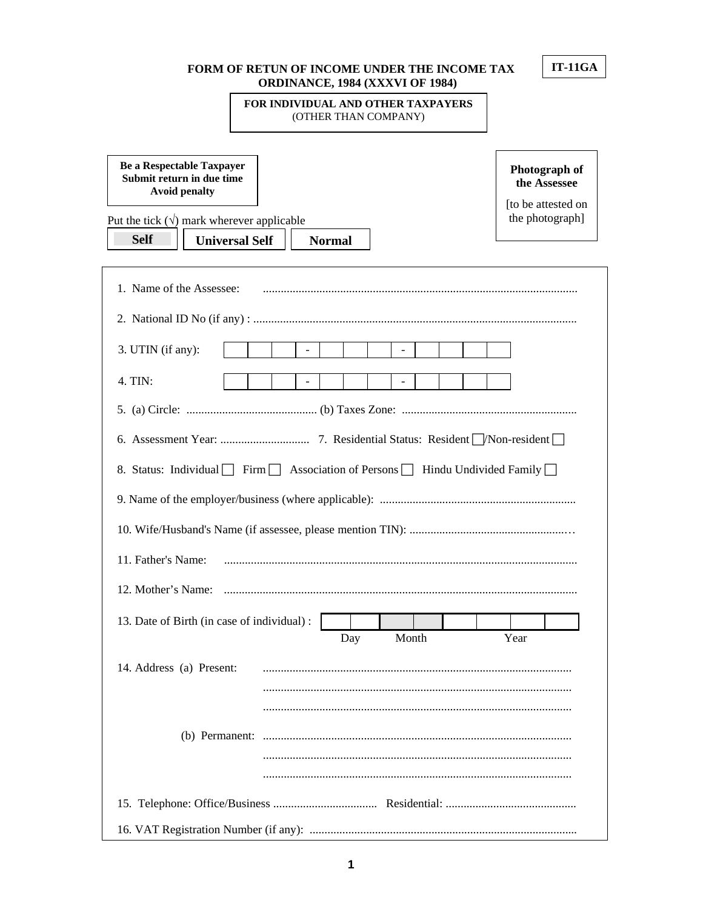### **FORM OF RETUN OF INCOME UNDER THE INCOME TAX ORDINANCE, 1984 (XXXVI OF 1984)**

## **FOR INDIVIDUAL AND OTHER TAXPAYERS**  (OTHER THAN COMPANY)

**Be a Respectable Taxpayer Submit return in due time Avoid penalty**

**Photograph of the Assessee** 

[to be attested on the photograph]

Put the tick  $(\sqrt{})$  mark wherever applicable

**Self Universal Self Normal**

| 3. UTIN (if any):                                                        |  |  |     |       |  |  |      |  |
|--------------------------------------------------------------------------|--|--|-----|-------|--|--|------|--|
| 4. TIN:                                                                  |  |  |     |       |  |  |      |  |
|                                                                          |  |  |     |       |  |  |      |  |
|                                                                          |  |  |     |       |  |  |      |  |
| 8. Status: Individual Firm Association of Persons Hindu Undivided Family |  |  |     |       |  |  |      |  |
|                                                                          |  |  |     |       |  |  |      |  |
|                                                                          |  |  |     |       |  |  |      |  |
|                                                                          |  |  |     |       |  |  |      |  |
|                                                                          |  |  |     |       |  |  |      |  |
|                                                                          |  |  |     |       |  |  |      |  |
| 11. Father's Name:<br>12. Mother's Name:                                 |  |  |     |       |  |  |      |  |
|                                                                          |  |  |     |       |  |  |      |  |
|                                                                          |  |  | Day | Month |  |  | Year |  |
| 13. Date of Birth (in case of individual):<br>14. Address (a) Present:   |  |  |     |       |  |  |      |  |
|                                                                          |  |  |     |       |  |  |      |  |
|                                                                          |  |  |     |       |  |  |      |  |
|                                                                          |  |  |     |       |  |  |      |  |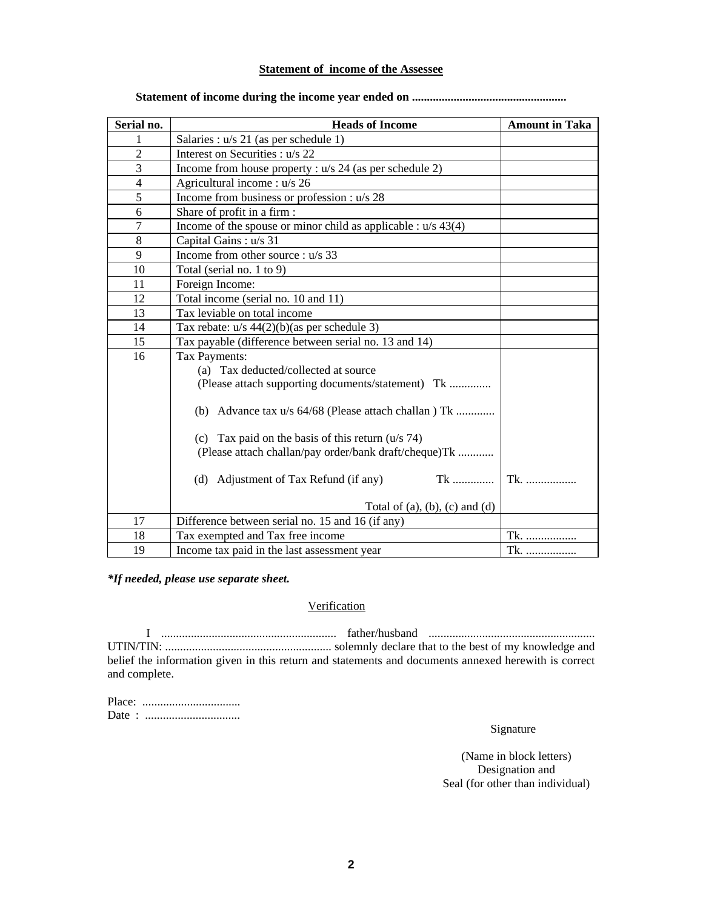### **Statement of income of the Assessee**

| Serial no.     | <b>Heads of Income</b>                                          | <b>Amount in Taka</b> |
|----------------|-----------------------------------------------------------------|-----------------------|
|                | Salaries : u/s 21 (as per schedule 1)                           |                       |
| $\overline{2}$ | Interest on Securities : u/s 22                                 |                       |
| 3              | Income from house property : $u/s$ 24 (as per schedule 2)       |                       |
| 4              | Agricultural income : u/s 26                                    |                       |
| 5              | Income from business or profession : u/s 28                     |                       |
| 6              | Share of profit in a firm:                                      |                       |
| $\overline{7}$ | Income of the spouse or minor child as applicable : $u/s$ 43(4) |                       |
| 8              | Capital Gains: u/s 31                                           |                       |
| 9              | Income from other source : u/s 33                               |                       |
| 10             | Total (serial no. 1 to 9)                                       |                       |
| 11             | Foreign Income:                                                 |                       |
| 12             | Total income (serial no. 10 and 11)                             |                       |
| 13             | Tax leviable on total income                                    |                       |
| 14             | Tax rebate: $u/s$ 44(2)(b)(as per schedule 3)                   |                       |
| 15             | Tax payable (difference between serial no. 13 and 14)           |                       |
| 16             | Tax Payments:                                                   |                       |
|                | (a) Tax deducted/collected at source                            |                       |
|                | (Please attach supporting documents/statement) Tk               |                       |
|                | (b) Advance tax u/s 64/68 (Please attach challan) Tk            |                       |
|                | (c) Tax paid on the basis of this return $(u/s 74)$             |                       |
|                | (Please attach challan/pay order/bank draft/cheque)Tk           |                       |
|                |                                                                 |                       |
|                | (d) Adjustment of Tax Refund (if any)<br>$Tk$                   | Tk                    |
|                | Total of $(a)$ , $(b)$ , $(c)$ and $(d)$                        |                       |
| 17             | Difference between serial no. 15 and 16 (if any)                |                       |
| 18             | Tax exempted and Tax free income                                | Tk.                   |
| 19             | Income tax paid in the last assessment year                     | Tk.                   |

#### **Statement of income during the income year ended on ....................................................**

*\*If needed, please use separate sheet.* 

### **Verification**

 I ........................................................... father/husband ........................................................ UTIN/TIN: ........................................................ solemnly declare that to the best of my knowledge and belief the information given in this return and statements and documents annexed herewith is correct and complete.

| Date: |  |  |  |  |  |  |  |  |  |  |  |  |
|-------|--|--|--|--|--|--|--|--|--|--|--|--|

Signature

(Name in block letters) Designation and Seal (for other than individual)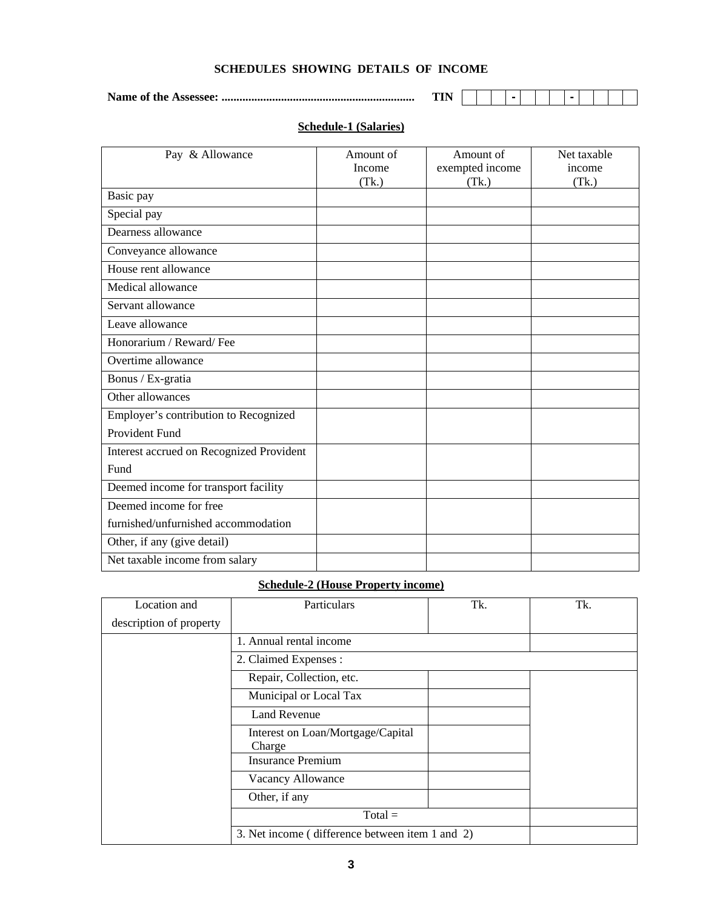| SCHEDULES SHOWING DETAILS OF INCOME |  |  |  |  |
|-------------------------------------|--|--|--|--|
|-------------------------------------|--|--|--|--|

**Name of the Assessee: ................................................................. TIN - -** 

## **Schedule-1 (Salaries)**

| Pay & Allowance                          | Amount of<br>Income<br>(Tk.) | Amount of<br>exempted income<br>(Tk.) | Net taxable<br>income<br>(Tk.) |
|------------------------------------------|------------------------------|---------------------------------------|--------------------------------|
| Basic pay                                |                              |                                       |                                |
| Special pay                              |                              |                                       |                                |
| Dearness allowance                       |                              |                                       |                                |
| Conveyance allowance                     |                              |                                       |                                |
| House rent allowance                     |                              |                                       |                                |
| Medical allowance                        |                              |                                       |                                |
| Servant allowance                        |                              |                                       |                                |
| Leave allowance                          |                              |                                       |                                |
| Honorarium / Reward/Fee                  |                              |                                       |                                |
| Overtime allowance                       |                              |                                       |                                |
| Bonus / Ex-gratia                        |                              |                                       |                                |
| Other allowances                         |                              |                                       |                                |
| Employer's contribution to Recognized    |                              |                                       |                                |
| Provident Fund                           |                              |                                       |                                |
| Interest accrued on Recognized Provident |                              |                                       |                                |
| Fund                                     |                              |                                       |                                |
| Deemed income for transport facility     |                              |                                       |                                |
| Deemed income for free                   |                              |                                       |                                |
| furnished/unfurnished accommodation      |                              |                                       |                                |
| Other, if any (give detail)              |                              |                                       |                                |
| Net taxable income from salary           |                              |                                       |                                |

# **Schedule-2 (House Property income)**

| Location and            | Particulars                                     | Tk. | Tk. |
|-------------------------|-------------------------------------------------|-----|-----|
| description of property |                                                 |     |     |
|                         | 1. Annual rental income                         |     |     |
|                         | 2. Claimed Expenses:                            |     |     |
|                         | Repair, Collection, etc.                        |     |     |
|                         | Municipal or Local Tax                          |     |     |
|                         | <b>Land Revenue</b>                             |     |     |
|                         | Interest on Loan/Mortgage/Capital<br>Charge     |     |     |
|                         | <b>Insurance Premium</b>                        |     |     |
|                         | Vacancy Allowance                               |     |     |
|                         | Other, if any                                   |     |     |
|                         | $Total =$                                       |     |     |
|                         | 3. Net income (difference between item 1 and 2) |     |     |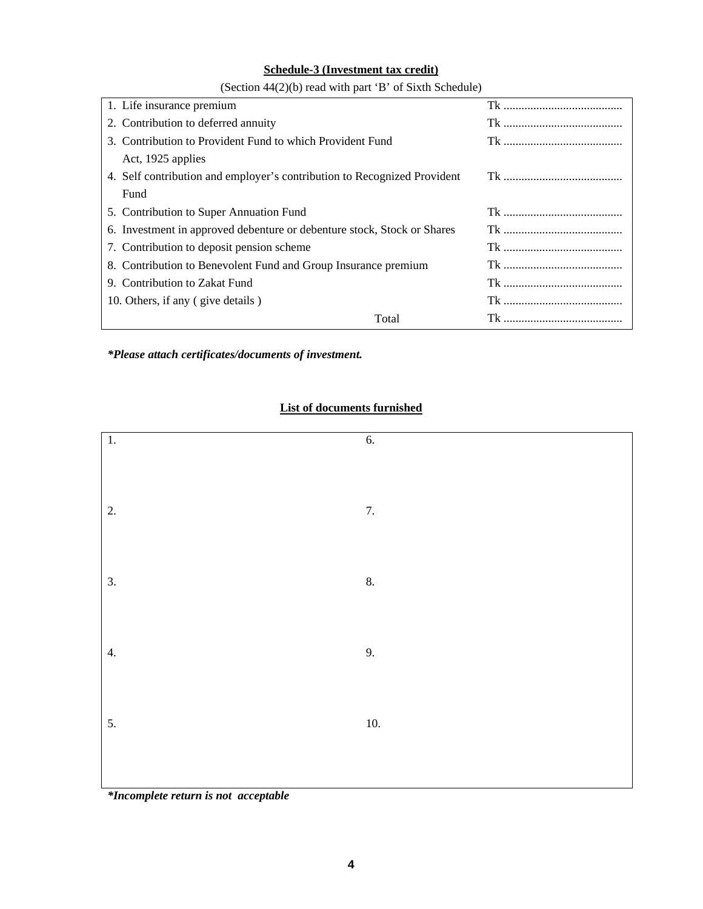## **Schedule-3 (Investment tax credit)**

| 1. Life insurance premium                                                |       |  |
|--------------------------------------------------------------------------|-------|--|
| 2. Contribution to deferred annuity                                      |       |  |
| 3. Contribution to Provident Fund to which Provident Fund                |       |  |
| Act, 1925 applies                                                        |       |  |
| 4. Self contribution and employer's contribution to Recognized Provident |       |  |
| Fund                                                                     |       |  |
| 5. Contribution to Super Annuation Fund                                  |       |  |
| 6. Investment in approved debenture or debenture stock, Stock or Shares  |       |  |
| 7. Contribution to deposit pension scheme                                |       |  |
| 8. Contribution to Benevolent Fund and Group Insurance premium           |       |  |
| 9. Contribution to Zakat Fund                                            |       |  |
| 10. Others, if any (give details)                                        |       |  |
|                                                                          | Total |  |

(Section 44(2)(b) read with part 'B' of Sixth Schedule)

*\*Please attach certificates/documents of investment.* 

# **List of documents furnished**



*\*Incomplete return is not acceptable*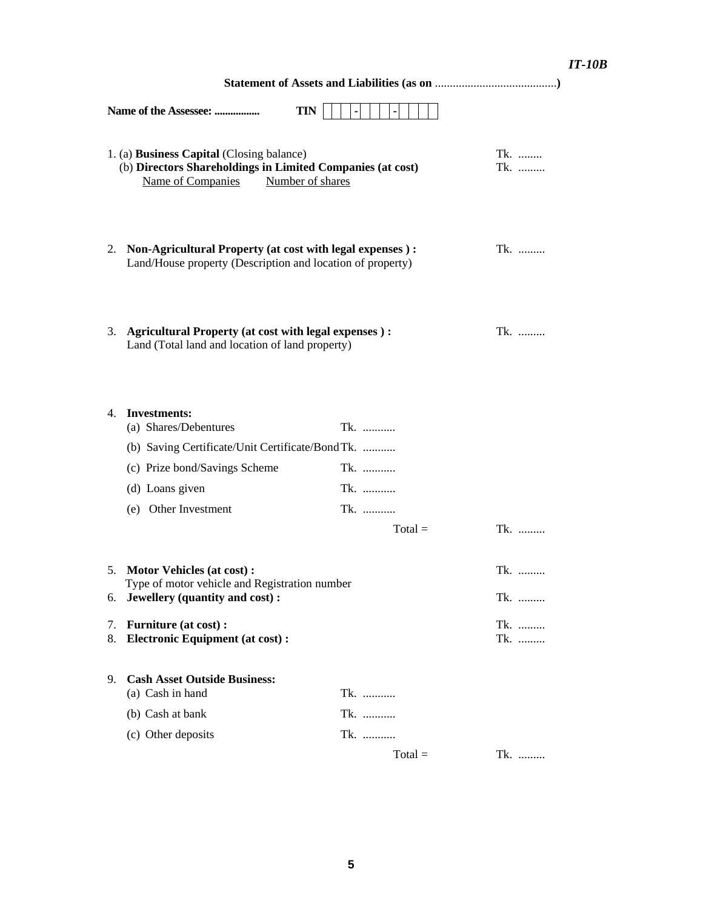# *IT-10B*

|                | <b>TIN</b><br>Name of the Assessee:                                                                                                                                                             |                          | $\blacksquare$ |           |  |                   |             |
|----------------|-------------------------------------------------------------------------------------------------------------------------------------------------------------------------------------------------|--------------------------|----------------|-----------|--|-------------------|-------------|
|                | 1. (a) Business Capital (Closing balance)<br>(b) Directors Shareholdings in Limited Companies (at cost)<br>Name of Companies<br>Number of shares                                                |                          |                |           |  | Tk.<br>Tk.        |             |
|                | 2. Non-Agricultural Property (at cost with legal expenses):<br>Land/House property (Description and location of property)                                                                       |                          |                |           |  | Tk.               |             |
| 3.             | <b>Agricultural Property (at cost with legal expenses):</b><br>Land (Total land and location of land property)                                                                                  |                          |                |           |  | Tk.               |             |
| 4.             | <b>Investments:</b><br>(a) Shares/Debentures<br>(b) Saving Certificate/Unit Certificate/Bond Tk.<br>(c) Prize bond/Savings Scheme<br>(d) Loans given<br>(e) Other Investment                    | Tk.<br>Tk.<br>Tk.<br>Tk. |                |           |  |                   |             |
|                |                                                                                                                                                                                                 |                          |                | $Total =$ |  | Tk.               |             |
| 5.<br>7.<br>8. | <b>Motor Vehicles (at cost):</b><br>Type of motor vehicle and Registration number<br>6. Jewellery (quantity and cost):<br><b>Furniture (at cost):</b><br><b>Electronic Equipment (at cost):</b> |                          |                |           |  | Tk.<br>Tk.<br>Tk. | $Tk_{1},,,$ |
| 9.             | <b>Cash Asset Outside Business:</b><br>(a) Cash in hand<br>(b) Cash at bank                                                                                                                     | Tk.<br>Tk.               |                |           |  |                   |             |
|                | (c) Other deposits                                                                                                                                                                              | Tk.                      |                |           |  |                   |             |
|                |                                                                                                                                                                                                 |                          |                | $Total =$ |  | Tk.               |             |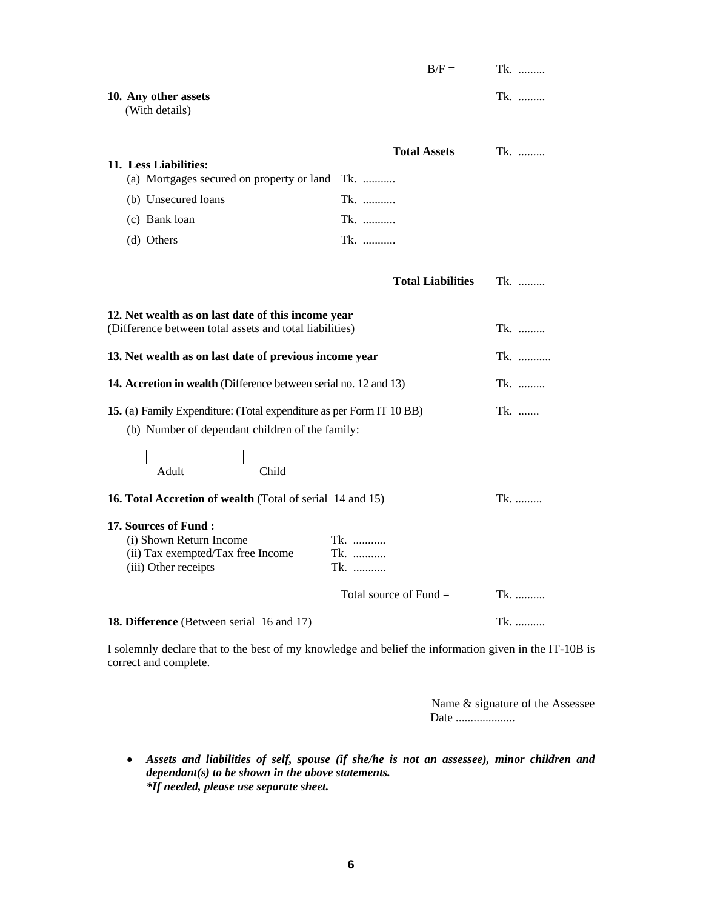|                                                                                                                                                                         | $B/F =$                    | Tk.        |
|-------------------------------------------------------------------------------------------------------------------------------------------------------------------------|----------------------------|------------|
| 10. Any other assets<br>(With details)                                                                                                                                  |                            | Tk.        |
| 11. Less Liabilities:<br>(a) Mortgages secured on property or land                                                                                                      | <b>Total Assets</b><br>Tk. | Tk.        |
| (b) Unsecured loans                                                                                                                                                     | Tk.                        |            |
| (c) Bank loan                                                                                                                                                           | Tk.                        |            |
| (d) Others                                                                                                                                                              | Tk.                        |            |
|                                                                                                                                                                         |                            |            |
|                                                                                                                                                                         | <b>Total Liabilities</b>   | Tk.        |
| 12. Net wealth as on last date of this income year<br>(Difference between total assets and total liabilities)<br>13. Net wealth as on last date of previous income year |                            | Tk.<br>Tk. |
| 14. Accretion in wealth (Difference between serial no. 12 and 13)                                                                                                       |                            | Tk.        |
| 15. (a) Family Expenditure: (Total expenditure as per Form IT 10 BB)<br>(b) Number of dependant children of the family:<br>Child<br>Adult                               |                            | Tk.        |
| 16. Total Accretion of wealth (Total of serial 14 and 15)                                                                                                               |                            | $Tk.$      |
| 17. Sources of Fund:<br>(i) Shown Return Income<br>(ii) Tax exempted/Tax free Income<br>(iii) Other receipts                                                            | Tk.<br>Tk.<br>Tk.          |            |
|                                                                                                                                                                         | Total source of Fund $=$   | Tk.        |
| 18. Difference (Between serial 16 and 17)                                                                                                                               |                            | Tk.        |
| I solemnly declare that to the best of my knowledge and belief the information given in the IT                                                                          |                            |            |

I solemnly declare that to the best of my knowledge and belief the information given in the IT-10B is correct and complete.

> Name & signature of the Assessee Date ....................

• *Assets and liabilities of self, spouse (if she/he is not an assessee), minor children and dependant(s) to be shown in the above statements. \*If needed, please use separate sheet.*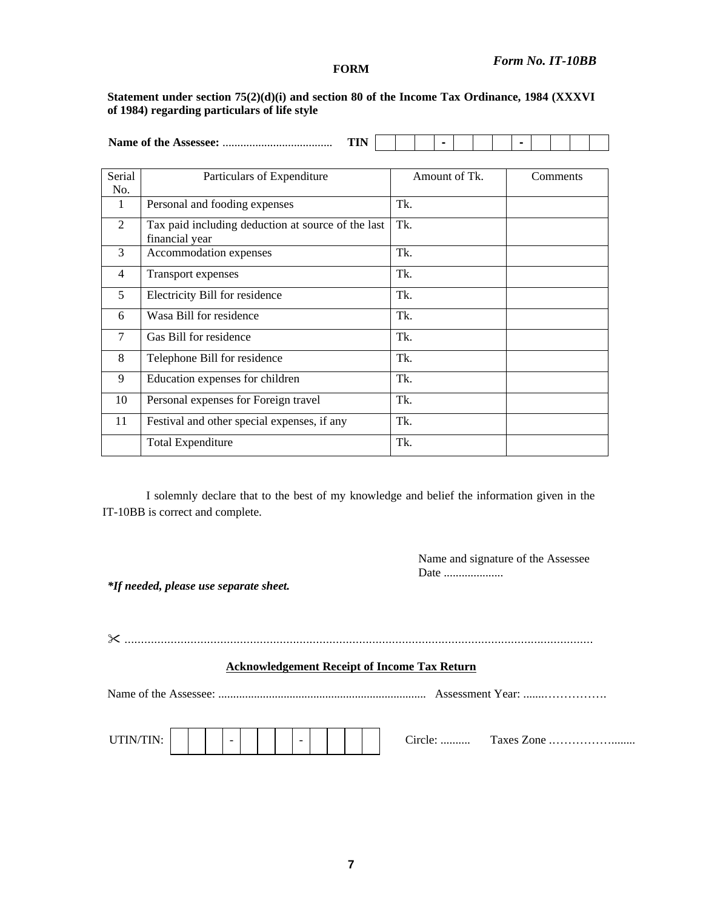### *Form No. IT-10BB*

#### **FORM**

### **Statement under section 75(2)(d)(i) and section 80 of the Income Tax Ordinance, 1984 (XXXVI of 1984) regarding particulars of life style**

| n |  |  |  |  |  |  |
|---|--|--|--|--|--|--|

| Serial<br>No.               | Particulars of Expenditure                                           | Amount of Tk. | Comments |
|-----------------------------|----------------------------------------------------------------------|---------------|----------|
| 1                           | Personal and fooding expenses                                        | Tk.           |          |
| $\mathcal{D}_{\mathcal{L}}$ | Tax paid including deduction at source of the last<br>financial year | Tk.           |          |
| 3                           | Accommodation expenses                                               | Tk.           |          |
| 4                           | Transport expenses                                                   | Tk.           |          |
| 5                           | Electricity Bill for residence                                       | Tk.           |          |
| 6                           | Wasa Bill for residence                                              | Tk.           |          |
| 7                           | Gas Bill for residence                                               | Tk.           |          |
| 8                           | Telephone Bill for residence                                         | Tk.           |          |
| 9                           | Education expenses for children                                      | Tk.           |          |
| 10                          | Personal expenses for Foreign travel                                 | Tk.           |          |
| 11                          | Festival and other special expenses, if any                          | Tk.           |          |
|                             | <b>Total Expenditure</b>                                             | Tk.           |          |

I solemnly declare that to the best of my knowledge and belief the information given in the IT-10BB is correct and complete.

> Name and signature of the Assessee Date ....................

*\*If needed, please use separate sheet.* 

 .............................................................................................................................................. **Acknowledgement Receipt of Income Tax Return** Name of the Assessee: ...................................................................... Assessment Year: .......……………. UTIN/TIN: - - Circle: .......... Taxes Zone .……………........